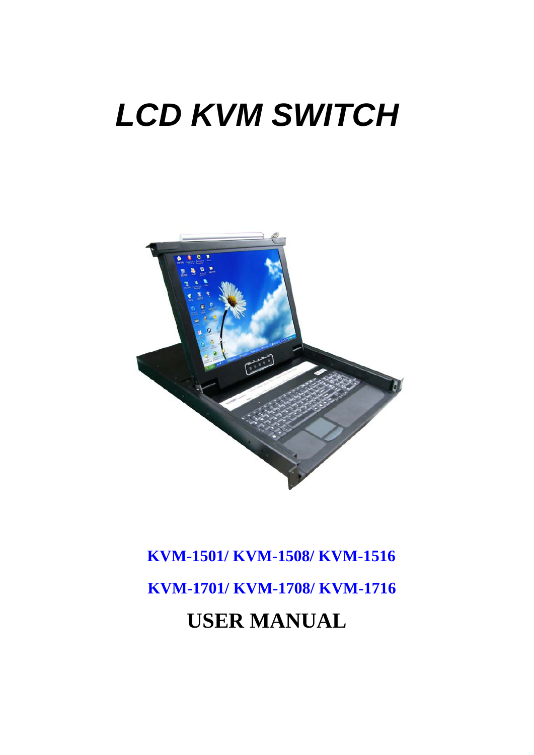# *LCD KVM SWITCH*



# **KVM-1501/ KVM-1508/ KVM-1516 KVM-1701/ KVM-1708/ KVM-1716 USER MANUAL**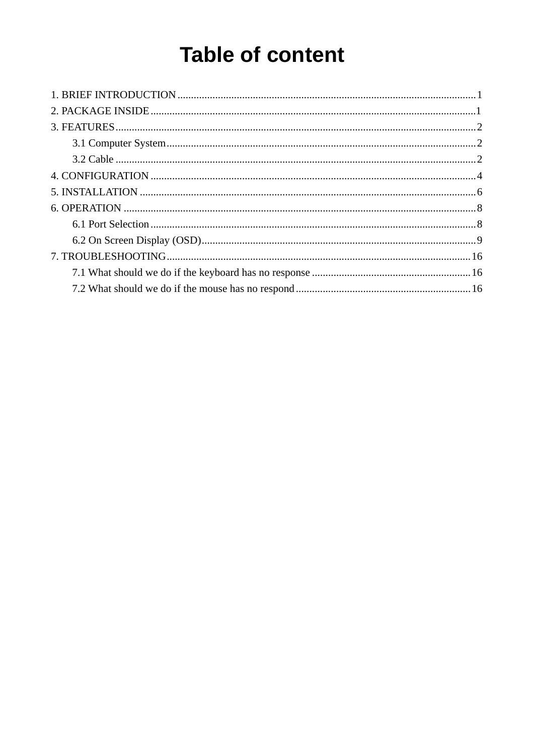# **Table of content**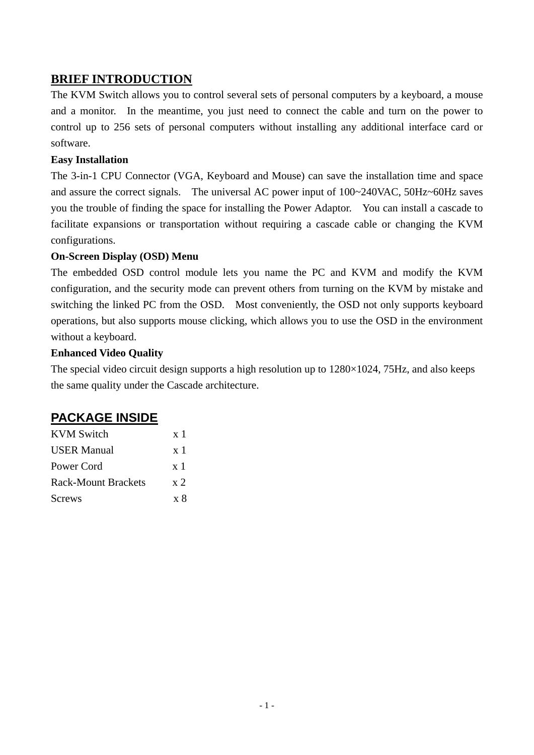# **BRIEF INTRODUCTION**

The KVM Switch allows you to control several sets of personal computers by a keyboard, a mouse and a monitor. In the meantime, you just need to connect the cable and turn on the power to control up to 256 sets of personal computers without installing any additional interface card or software.

#### **Easy Installation**

The 3-in-1 CPU Connector (VGA, Keyboard and Mouse) can save the installation time and space and assure the correct signals. The universal AC power input of 100~240VAC, 50Hz~60Hz saves you the trouble of finding the space for installing the Power Adaptor. You can install a cascade to facilitate expansions or transportation without requiring a cascade cable or changing the KVM configurations.

#### **On-Screen Display (OSD) Menu**

The embedded OSD control module lets you name the PC and KVM and modify the KVM configuration, and the security mode can prevent others from turning on the KVM by mistake and switching the linked PC from the OSD. Most conveniently, the OSD not only supports keyboard operations, but also supports mouse clicking, which allows you to use the OSD in the environment without a keyboard.

#### **Enhanced Video Quality**

The special video circuit design supports a high resolution up to  $1280\times1024$ , 75Hz, and also keeps the same quality under the Cascade architecture.

# **PACKAGE INSIDE**

| <b>KVM</b> Switch          | $\mathbf{x}$ 1 |
|----------------------------|----------------|
| <b>USER Manual</b>         | $\mathbf{x}$ 1 |
| Power Cord                 | $\mathbf{x}$ 1 |
| <b>Rack-Mount Brackets</b> | x <sub>2</sub> |
| <b>Screws</b>              | $x \times$     |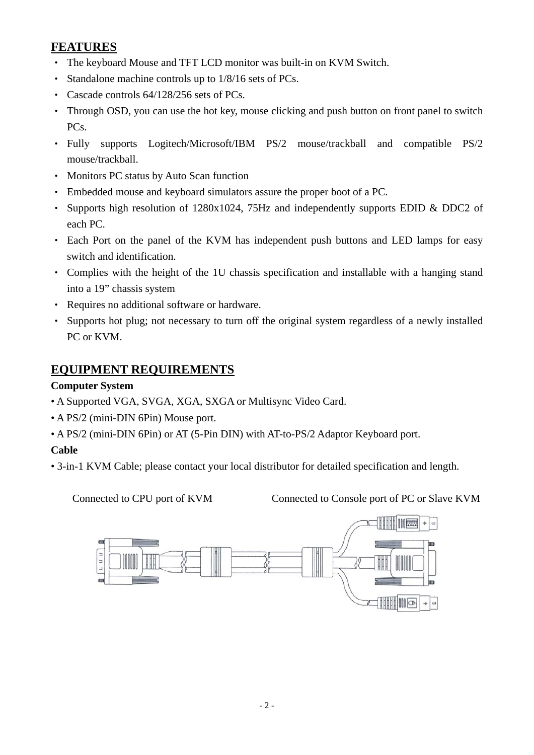# **FEATURES**

- ‧ The keyboard Mouse and TFT LCD monitor was built-in on KVM Switch.
- ‧ Standalone machine controls up to 1/8/16 sets of PCs.
- ‧ Cascade controls 64/128/256 sets of PCs.
- ‧ Through OSD, you can use the hot key, mouse clicking and push button on front panel to switch PC<sub>s</sub>.
- ‧ Fully supports Logitech/Microsoft/IBM PS/2 mouse/trackball and compatible PS/2 mouse/trackball.
- ‧ Monitors PC status by Auto Scan function
- ‧ Embedded mouse and keyboard simulators assure the proper boot of a PC.
- Supports high resolution of 1280x1024, 75Hz and independently supports EDID & DDC2 of each PC.
- Each Port on the panel of the KVM has independent push buttons and LED lamps for easy switch and identification.
- ‧ Complies with the height of the 1U chassis specification and installable with a hanging stand into a 19" chassis system
- ‧ Requires no additional software or hardware.
- ‧ Supports hot plug; not necessary to turn off the original system regardless of a newly installed PC or KVM.

# **EQUIPMENT REQUIREMENTS**

### **Computer System**

- A Supported VGA, SVGA, XGA, SXGA or Multisync Video Card.
- A PS/2 (mini-DIN 6Pin) Mouse port.
- A PS/2 (mini-DIN 6Pin) or AT (5-Pin DIN) with AT-to-PS/2 Adaptor Keyboard port.

# **Cable**

• 3-in-1 KVM Cable; please contact your local distributor for detailed specification and length.

**Connected to CPU port of KVM Connected to Console port of PC or Slave KVM** 

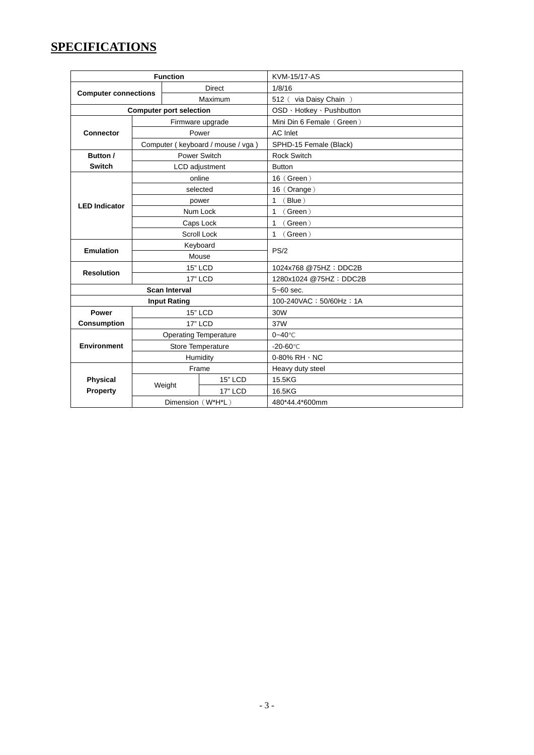# **SPECIFICATIONS**

| <b>Function</b>             |                    |                                | <b>KVM-15/17-AS</b>               |                           |  |
|-----------------------------|--------------------|--------------------------------|-----------------------------------|---------------------------|--|
| <b>Computer connections</b> |                    |                                | <b>Direct</b>                     | 1/8/16                    |  |
|                             |                    | Maximum                        |                                   | 512 (via Daisy Chain)     |  |
|                             |                    | <b>Computer port selection</b> |                                   | OSD · Hotkey · Pushbutton |  |
|                             |                    |                                | Firmware upgrade                  | Mini Din 6 Female (Green) |  |
| <b>Connector</b>            |                    |                                | Power                             | <b>AC</b> Inlet           |  |
|                             |                    |                                | Computer (keyboard / mouse / vga) | SPHD-15 Female (Black)    |  |
| Button /                    |                    |                                | Power Switch                      | <b>Rock Switch</b>        |  |
| <b>Switch</b>               |                    |                                | LCD adjustment                    | <b>Button</b>             |  |
|                             | online             |                                |                                   | $16$ (Green)              |  |
|                             |                    |                                | selected                          | 16 (Orange)               |  |
| <b>LED Indicator</b>        |                    | power                          |                                   | 1<br>(Blue)               |  |
|                             |                    | Num Lock                       |                                   | (Green)<br>1              |  |
|                             | Caps Lock          |                                |                                   | 1<br>(Green)              |  |
|                             | <b>Scroll Lock</b> |                                |                                   | (Green)<br>1              |  |
| <b>Emulation</b>            |                    | Keyboard                       |                                   | PS/2                      |  |
|                             |                    | Mouse                          |                                   |                           |  |
| <b>Resolution</b>           |                    |                                | <b>15" LCD</b>                    | 1024x768 @75HZ; DDC2B     |  |
|                             |                    |                                | <b>17" LCD</b>                    | 1280x1024 @75HZ; DDC2B    |  |
| <b>Scan Interval</b>        |                    |                                | $5 - 60$ sec.                     |                           |  |
|                             |                    | <b>Input Rating</b>            |                                   | 100-240VAC ; 50/60Hz ; 1A |  |
| Power                       |                    |                                | <b>15" LCD</b>                    | 30W                       |  |
| <b>Consumption</b>          |                    |                                | <b>17" LCD</b>                    | 37W                       |  |
|                             |                    | <b>Operating Temperature</b>   |                                   | $0 - 40^{\circ}$ C        |  |
| <b>Environment</b>          | Store Temperature  |                                |                                   | $-20-60^{\circ}$ C        |  |
|                             | Humidity           |                                |                                   | 0-80% RH , NC             |  |
|                             |                    |                                | Frame                             | Heavy duty steel          |  |
| <b>Physical</b>             | Weight             |                                | <b>15" LCD</b>                    | 15.5KG                    |  |
| Property                    |                    |                                | <b>17" LCD</b>                    | 16.5KG                    |  |
|                             |                    | Dimension (W*H*L)              |                                   | 480*44.4*600mm            |  |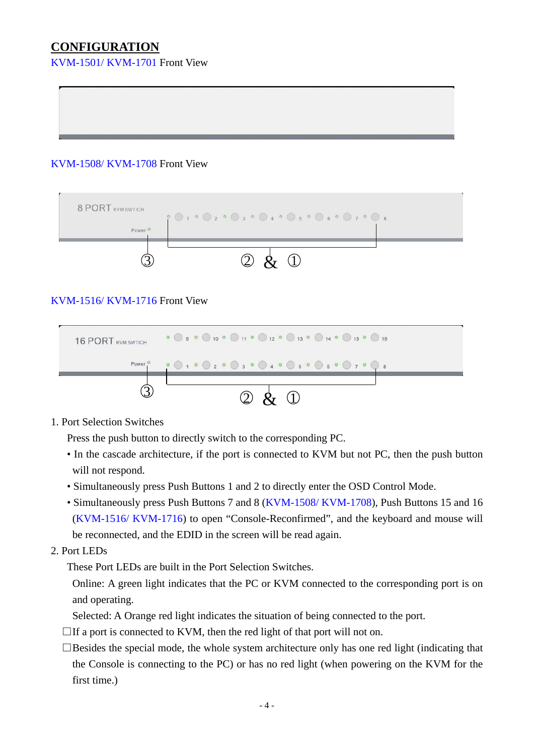# **CONFIGURATION**

KVM-1501/ KVM-1701 Front View

#### KVM-1508/ KVM-1708 Front View



#### KVM-1516/ KVM-1716 Front View



1. Port Selection Switches

Press the push button to directly switch to the corresponding PC.

- In the cascade architecture, if the port is connected to KVM but not PC, then the push button will not respond.
- Simultaneously press Push Buttons 1 and 2 to directly enter the OSD Control Mode.
- Simultaneously press Push Buttons 7 and 8 (KVM-1508/ KVM-1708), Push Buttons 15 and 16 (KVM-1516/ KVM-1716) to open "Console-Reconfirmed", and the keyboard and mouse will be reconnected, and the EDID in the screen will be read again.
- 2. Port LEDs

These Port LEDs are built in the Port Selection Switches.

Online: A green light indicates that the PC or KVM connected to the corresponding port is on and operating.

Selected: A Orange red light indicates the situation of being connected to the port.

- $\Box$  If a port is connected to KVM, then the red light of that port will not on.
- $\square$ Besides the special mode, the whole system architecture only has one red light (indicating that the Console is connecting to the PC) or has no red light (when powering on the KVM for the first time.)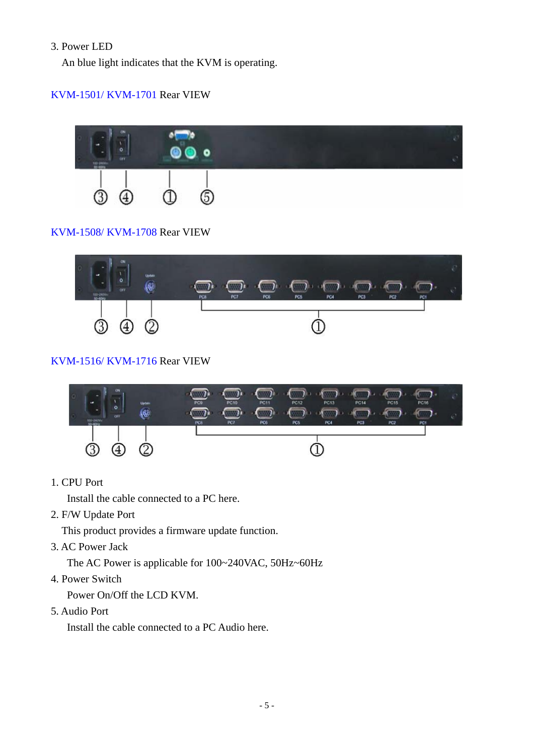#### 3. Power LED

An blue light indicates that the KVM is operating.

### KVM-1501/ KVM-1701 Rear VIEW



#### KVM-1508/ KVM-1708 Rear VIEW



#### KVM-1516/ KVM-1716 Rear VIEW



1. CPU Port

Install the cable connected to a PC here.

2. F/W Update Port

This product provides a firmware update function.

3. AC Power Jack

The AC Power is applicable for 100~240VAC, 50Hz~60Hz

4. Power Switch

Power On/Off the LCD KVM.

5. Audio Port

Install the cable connected to a PC Audio here.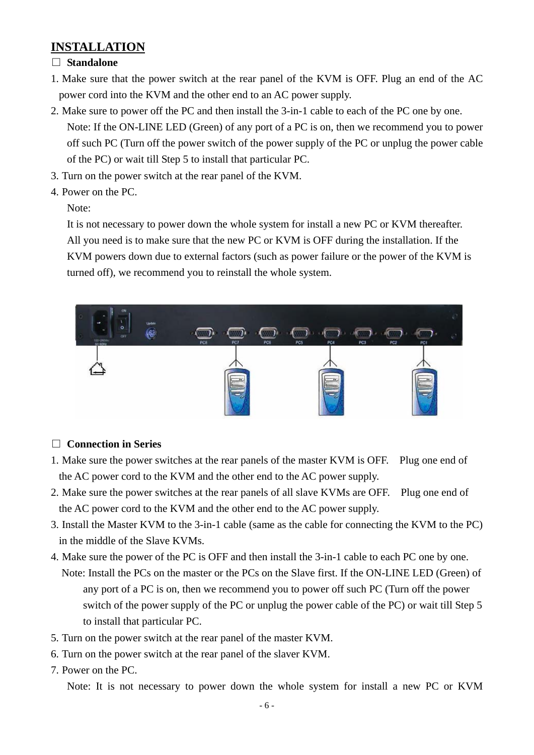# **INSTALLATION**

#### □ **Standalone**

- 1. Make sure that the power switch at the rear panel of the KVM is OFF. Plug an end of the AC power cord into the KVM and the other end to an AC power supply.
- 2. Make sure to power off the PC and then install the 3-in-1 cable to each of the PC one by one. Note: If the ON-LINE LED (Green) of any port of a PC is on, then we recommend you to power off such PC (Turn off the power switch of the power supply of the PC or unplug the power cable of the PC) or wait till Step 5 to install that particular PC.
- 3. Turn on the power switch at the rear panel of the KVM.
- 4. Power on the PC.

Note:

It is not necessary to power down the whole system for install a new PC or KVM thereafter. All you need is to make sure that the new PC or KVM is OFF during the installation. If the KVM powers down due to external factors (such as power failure or the power of the KVM is turned off), we recommend you to reinstall the whole system.



### □ **Connection in Series**

- 1. Make sure the power switches at the rear panels of the master KVM is OFF. Plug one end of the AC power cord to the KVM and the other end to the AC power supply.
- 2. Make sure the power switches at the rear panels of all slave KVMs are OFF. Plug one end of the AC power cord to the KVM and the other end to the AC power supply.
- 3. Install the Master KVM to the 3-in-1 cable (same as the cable for connecting the KVM to the PC) in the middle of the Slave KVMs.
- 4. Make sure the power of the PC is OFF and then install the 3-in-1 cable to each PC one by one. Note: Install the PCs on the master or the PCs on the Slave first. If the ON-LINE LED (Green) of any port of a PC is on, then we recommend you to power off such PC (Turn off the power switch of the power supply of the PC or unplug the power cable of the PC) or wait till Step 5 to install that particular PC.
- 5. Turn on the power switch at the rear panel of the master KVM.
- 6. Turn on the power switch at the rear panel of the slaver KVM.
- 7. Power on the PC.

Note: It is not necessary to power down the whole system for install a new PC or KVM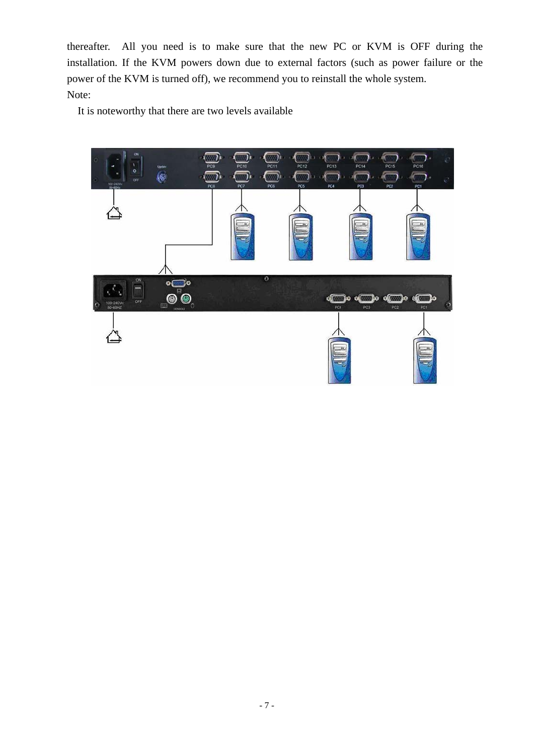thereafter. All you need is to make sure that the new PC or KVM is OFF during the installation. If the KVM powers down due to external factors (such as power failure or the power of the KVM is turned off), we recommend you to reinstall the whole system. Note:

It is noteworthy that there are two levels available

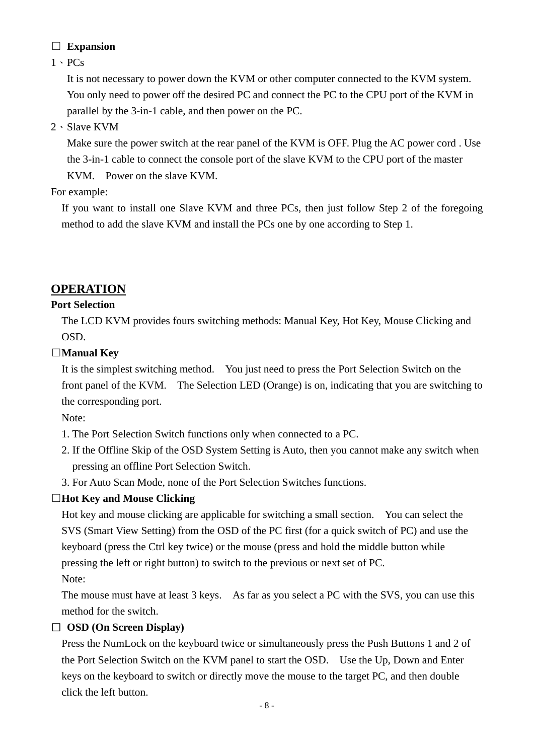# □ **Expansion**

 $1 \cdot PCs$ 

It is not necessary to power down the KVM or other computer connected to the KVM system. You only need to power off the desired PC and connect the PC to the CPU port of the KVM in parallel by the 3-in-1 cable, and then power on the PC.

2、Slave KVM

Make sure the power switch at the rear panel of the KVM is OFF. Plug the AC power cord . Use the 3-in-1 cable to connect the console port of the slave KVM to the CPU port of the master KVM. Power on the slave KVM.

# For example:

If you want to install one Slave KVM and three PCs, then just follow Step 2 of the foregoing method to add the slave KVM and install the PCs one by one according to Step 1.

# **OPERATION**

# **Port Selection**

The LCD KVM provides fours switching methods: Manual Key, Hot Key, Mouse Clicking and OSD.

# □**Manual Key**

 It is the simplest switching method. You just need to press the Port Selection Switch on the front panel of the KVM. The Selection LED (Orange) is on, indicating that you are switching to the corresponding port.

Note:

- 1. The Port Selection Switch functions only when connected to a PC.
- 2. If the Offline Skip of the OSD System Setting is Auto, then you cannot make any switch when pressing an offline Port Selection Switch.
- 3. For Auto Scan Mode, none of the Port Selection Switches functions.

# □**Hot Key and Mouse Clicking**

 Hot key and mouse clicking are applicable for switching a small section. You can select the SVS (Smart View Setting) from the OSD of the PC first (for a quick switch of PC) and use the keyboard (press the Ctrl key twice) or the mouse (press and hold the middle button while pressing the left or right button) to switch to the previous or next set of PC.

Note:

 The mouse must have at least 3 keys. As far as you select a PC with the SVS, you can use this method for the switch.

# □ **OSD (On Screen Display)**

 Press the NumLock on the keyboard twice or simultaneously press the Push Buttons 1 and 2 of the Port Selection Switch on the KVM panel to start the OSD. Use the Up, Down and Enter keys on the keyboard to switch or directly move the mouse to the target PC, and then double click the left button.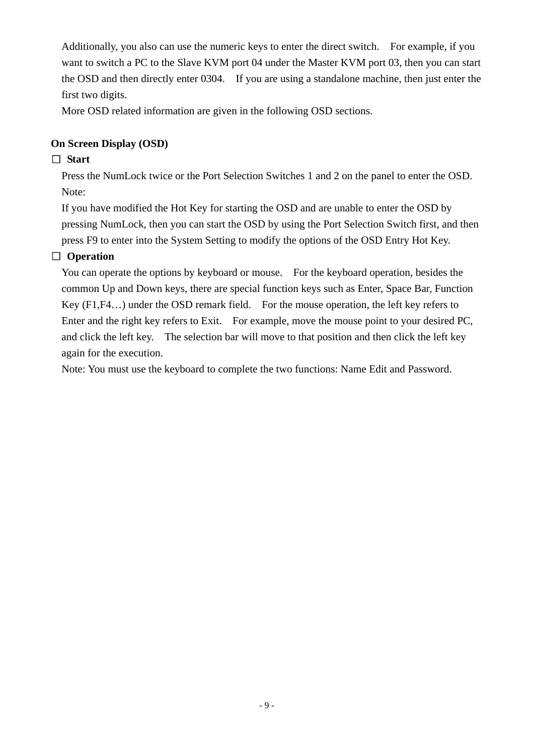Additionally, you also can use the numeric keys to enter the direct switch. For example, if you want to switch a PC to the Slave KVM port 04 under the Master KVM port 03, then you can start the OSD and then directly enter 0304. If you are using a standalone machine, then just enter the first two digits.

More OSD related information are given in the following OSD sections.

### **On Screen Display (OSD)**

# □ **Start**

 Press the NumLock twice or the Port Selection Switches 1 and 2 on the panel to enter the OSD. Note:

 If you have modified the Hot Key for starting the OSD and are unable to enter the OSD by pressing NumLock, then you can start the OSD by using the Port Selection Switch first, and then press F9 to enter into the System Setting to modify the options of the OSD Entry Hot Key.

# □ **Operation**

 You can operate the options by keyboard or mouse. For the keyboard operation, besides the common Up and Down keys, there are special function keys such as Enter, Space Bar, Function Key (F1,F4…) under the OSD remark field. For the mouse operation, the left key refers to Enter and the right key refers to Exit. For example, move the mouse point to your desired PC, and click the left key. The selection bar will move to that position and then click the left key again for the execution.

Note: You must use the keyboard to complete the two functions: Name Edit and Password.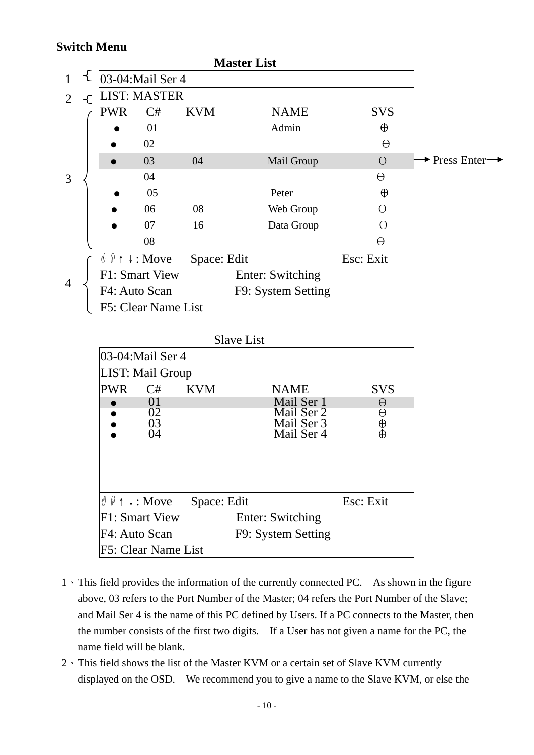# **Switch Menu**

|                |            |                                                  |             | <b>Master List</b> |            |                            |
|----------------|------------|--------------------------------------------------|-------------|--------------------|------------|----------------------------|
|                |            | 03-04: Mail Ser 4                                |             |                    |            |                            |
| 2              |            | <b>LIST: MASTER</b>                              |             |                    |            |                            |
|                | <b>PWR</b> | C#                                               | <b>KVM</b>  | <b>NAME</b>        | <b>SVS</b> |                            |
|                |            | 01                                               |             | Admin              | $\oplus$   |                            |
|                |            | 02                                               |             |                    | $\Theta$   |                            |
|                |            | 03                                               | 04          | Mail Group         | $\bigcirc$ | $\rightarrow$ Press Enter- |
| 3              |            | 04                                               |             |                    | $\Theta$   |                            |
|                |            | 05                                               |             | Peter              | $\oplus$   |                            |
|                |            | 06                                               | 08          | Web Group          | ()         |                            |
|                |            | 07                                               | 16          | Data Group         | ∩          |                            |
|                |            | 08                                               |             |                    | θ          |                            |
|                |            | $\emptyset \emptyset \uparrow \downarrow$ : Move | Space: Edit |                    | Esc: Exit  |                            |
| $\overline{4}$ |            | F1: Smart View                                   |             | Enter: Switching   |            |                            |
|                |            | F4: Auto Scan                                    |             | F9: System Setting |            |                            |
|                |            | F5: Clear Name List                              |             |                    |            |                            |

| <b>Slave List</b> |  |
|-------------------|--|
|                   |  |

|                                                  | 03-04: Mail Ser 4   |             |                                        |                              |
|--------------------------------------------------|---------------------|-------------|----------------------------------------|------------------------------|
|                                                  | LIST: Mail Group    |             |                                        |                              |
| <b>PWR</b>                                       | C#                  | <b>KVM</b>  | <b>NAME</b>                            | <b>SVS</b>                   |
|                                                  | O I                 |             | Mail Ser 1                             | θ                            |
|                                                  | 02<br>03<br>04      |             | Mail Ser 2<br>Mail Ser 3<br>Mail Ser 4 | θ<br>$\frac{\Theta}{\Theta}$ |
| $\emptyset \emptyset \uparrow \downarrow$ : Move |                     | Space: Edit |                                        | Esc: Exit                    |
|                                                  | F1: Smart View      |             | Enter: Switching                       |                              |
| F4: Auto Scan                                    |                     |             | F9: System Setting                     |                              |
|                                                  | F5: Clear Name List |             |                                        |                              |

- 1、This field provides the information of the currently connected PC. As shown in the figure above, 03 refers to the Port Number of the Master; 04 refers the Port Number of the Slave; and Mail Ser 4 is the name of this PC defined by Users. If a PC connects to the Master, then the number consists of the first two digits. If a User has not given a name for the PC, the name field will be blank.
- 2、This field shows the list of the Master KVM or a certain set of Slave KVM currently displayed on the OSD. We recommend you to give a name to the Slave KVM, or else the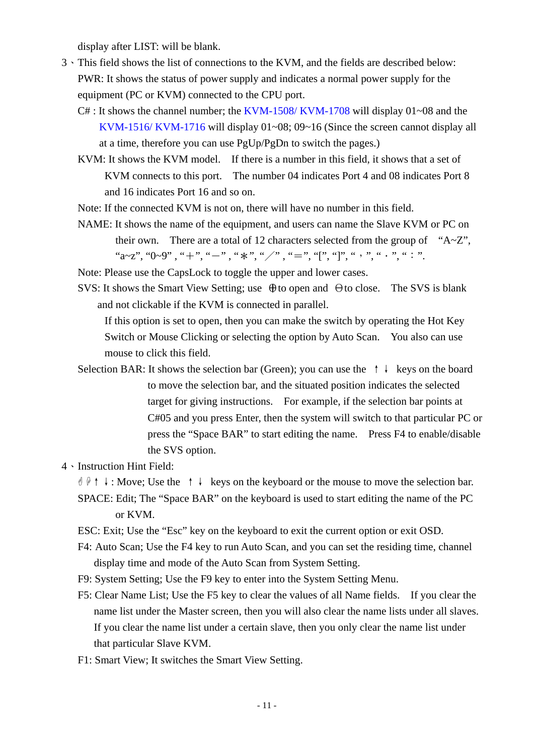display after LIST: will be blank.

- 3、This field shows the list of connections to the KVM, and the fields are described below: PWR: It shows the status of power supply and indicates a normal power supply for the equipment (PC or KVM) connected to the CPU port.
	- $C#$ : It shows the channel number; the KVM-1508/KVM-1708 will display 01~08 and the KVM-1516/ KVM-1716 will display 01~08; 09~16 (Since the screen cannot display all at a time, therefore you can use PgUp/PgDn to switch the pages.)
	- KVM: It shows the KVM model. If there is a number in this field, it shows that a set of KVM connects to this port. The number 04 indicates Port 4 and 08 indicates Port 8 and 16 indicates Port 16 and so on.
	- Note: If the connected KVM is not on, there will have no number in this field.
	- NAME: It shows the name of the equipment, and users can name the Slave KVM or PC on their own. There are a total of 12 characters selected from the group of " $A \sim Z$ ", "a~z", "0~9", "+", "-", "\*", "/", "=", "[", "]", ", ", ", ", ".", ".",
	- Note: Please use the CapsLock to toggle the upper and lower cases.
	- SVS: It shows the Smart View Setting; use Θto open and Θto close. The SVS is blank and not clickable if the KVM is connected in parallel.

 If this option is set to open, then you can make the switch by operating the Hot Key Switch or Mouse Clicking or selecting the option by Auto Scan. You also can use mouse to click this field.

 Selection BAR: It shows the selection bar (Green); you can use the ↑↓ keys on the board to move the selection bar, and the situated position indicates the selected target for giving instructions. For example, if the selection bar points at C#05 and you press Enter, then the system will switch to that particular PC or press the "Space BAR" to start editing the name. Press F4 to enable/disable the SVS option.

#### 4、Instruction Hint Field:

 ) \*↑↓: Move; Use the ↑↓ keys on the keyboard or the mouse to move the selection bar. SPACE: Edit; The "Space BAR" on the keyboard is used to start editing the name of the PC or KVM.

ESC: Exit; Use the "Esc" key on the keyboard to exit the current option or exit OSD.

- F4: Auto Scan; Use the F4 key to run Auto Scan, and you can set the residing time, channel display time and mode of the Auto Scan from System Setting.
- F9: System Setting; Use the F9 key to enter into the System Setting Menu.
- F5: Clear Name List; Use the F5 key to clear the values of all Name fields. If you clear the name list under the Master screen, then you will also clear the name lists under all slaves. If you clear the name list under a certain slave, then you only clear the name list under that particular Slave KVM.
- F1: Smart View; It switches the Smart View Setting.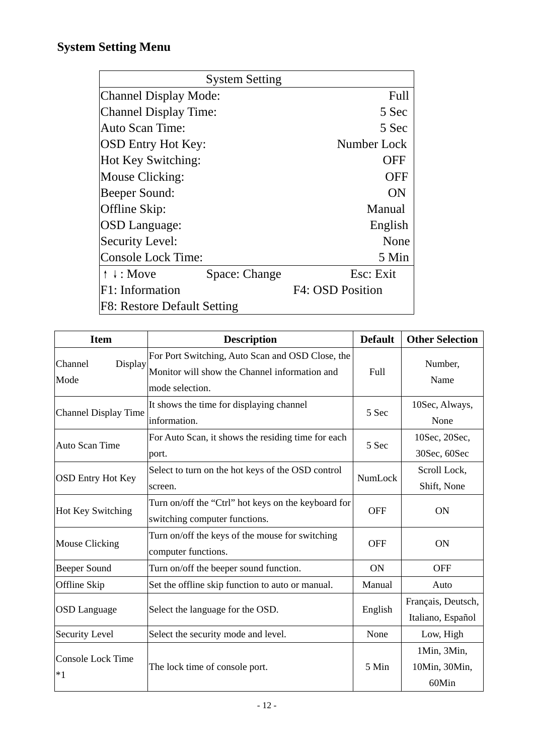# **System Setting Menu**

|                              | <b>System Setting</b> |                  |  |
|------------------------------|-----------------------|------------------|--|
| <b>Channel Display Mode:</b> |                       | Full             |  |
| Channel Display Time:        |                       | 5 Sec            |  |
| Auto Scan Time:              |                       | 5 Sec            |  |
| <b>OSD Entry Hot Key:</b>    |                       | Number Lock      |  |
| Hot Key Switching:           |                       | OFF              |  |
| Mouse Clicking:              |                       | OFF              |  |
| Beeper Sound:                |                       | ON               |  |
| Offline Skip:                |                       | Manual           |  |
| <b>OSD</b> Language:         |                       | English          |  |
| <b>Security Level:</b>       |                       | None             |  |
| Console Lock Time:           |                       | 5 Min            |  |
| $\uparrow \downarrow$ : Move | Space: Change         | Esc: Exit        |  |
| $F1:$ Information            |                       | F4: OSD Position |  |
| F8: Restore Default Setting  |                       |                  |  |

| <b>Item</b>                                                                                                                                        | <b>Description</b>                                                                   | <b>Default</b> | <b>Other Selection</b>                  |
|----------------------------------------------------------------------------------------------------------------------------------------------------|--------------------------------------------------------------------------------------|----------------|-----------------------------------------|
| For Port Switching, Auto Scan and OSD Close, the<br>Display<br>Channel<br>Monitor will show the Channel information and<br>Mode<br>mode selection. |                                                                                      | Full           | Number,<br>Name                         |
| It shows the time for displaying channel<br><b>Channel Display Time</b><br>information.                                                            |                                                                                      | 5 Sec          | 10Sec, Always,<br>None                  |
| <b>Auto Scan Time</b>                                                                                                                              | For Auto Scan, it shows the residing time for each<br>port.                          | 5 Sec          | 10Sec, 20Sec,<br>30Sec, 60Sec           |
| <b>OSD Entry Hot Key</b>                                                                                                                           | Select to turn on the hot keys of the OSD control<br>screen.                         | NumLock        | Scroll Lock,<br>Shift, None             |
| Hot Key Switching                                                                                                                                  | Turn on/off the "Ctrl" hot keys on the keyboard for<br>switching computer functions. | <b>OFF</b>     | <b>ON</b>                               |
| <b>Mouse Clicking</b>                                                                                                                              | Turn on/off the keys of the mouse for switching<br>computer functions.               | <b>OFF</b>     | <b>ON</b>                               |
| <b>Beeper Sound</b>                                                                                                                                | Turn on/off the beeper sound function.                                               | <b>ON</b>      | <b>OFF</b>                              |
| Offline Skip                                                                                                                                       | Set the offline skip function to auto or manual.                                     | Manual         | Auto                                    |
| <b>OSD</b> Language                                                                                                                                | Select the language for the OSD.                                                     | English        | Français, Deutsch,<br>Italiano, Español |
| <b>Security Level</b>                                                                                                                              | Select the security mode and level.                                                  | None           | Low, High                               |
| <b>Console Lock Time</b><br>$*1$                                                                                                                   | The lock time of console port.                                                       | 5 Min          | 1Min, 3Min,<br>10Min, 30Min,<br>60Min   |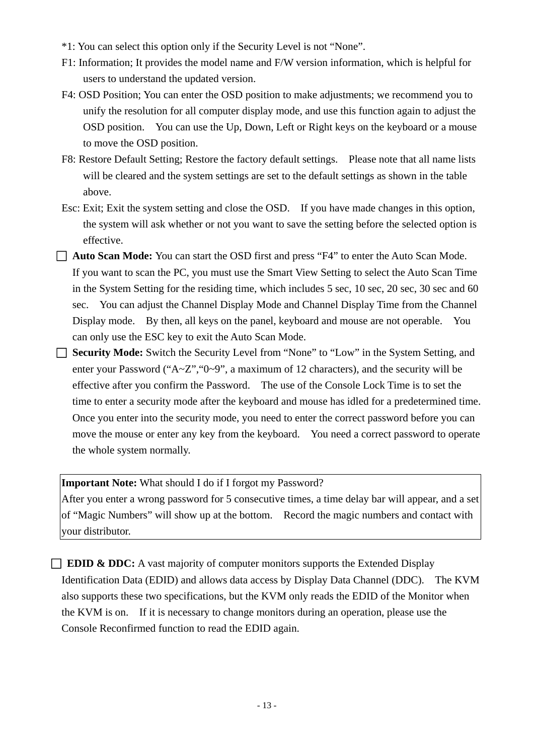- \*1: You can select this option only if the Security Level is not "None".
- F1: Information; It provides the model name and F/W version information, which is helpful for users to understand the updated version.
- F4: OSD Position; You can enter the OSD position to make adjustments; we recommend you to unify the resolution for all computer display mode, and use this function again to adjust the OSD position. You can use the Up, Down, Left or Right keys on the keyboard or a mouse to move the OSD position.
- F8: Restore Default Setting; Restore the factory default settings. Please note that all name lists will be cleared and the system settings are set to the default settings as shown in the table above.
- Esc: Exit; Exit the system setting and close the OSD. If you have made changes in this option, the system will ask whether or not you want to save the setting before the selected option is effective.
- □ **Auto Scan Mode:** You can start the OSD first and press "F4" to enter the Auto Scan Mode. If you want to scan the PC, you must use the Smart View Setting to select the Auto Scan Time in the System Setting for the residing time, which includes 5 sec, 10 sec, 20 sec, 30 sec and 60 sec. You can adjust the Channel Display Mode and Channel Display Time from the Channel Display mode. By then, all keys on the panel, keyboard and mouse are not operable. You can only use the ESC key to exit the Auto Scan Mode.
- □ **Security Mode:** Switch the Security Level from "None" to "Low" in the System Setting, and enter your Password ("A~Z", "0~9", a maximum of 12 characters), and the security will be effective after you confirm the Password. The use of the Console Lock Time is to set the time to enter a security mode after the keyboard and mouse has idled for a predetermined time. Once you enter into the security mode, you need to enter the correct password before you can move the mouse or enter any key from the keyboard. You need a correct password to operate the whole system normally.

**Important Note:** What should I do if I forgot my Password?

After you enter a wrong password for 5 consecutive times, a time delay bar will appear, and a set of "Magic Numbers" will show up at the bottom. Record the magic numbers and contact with your distributor.

□ **EDID & DDC:** A vast majority of computer monitors supports the Extended Display Identification Data (EDID) and allows data access by Display Data Channel (DDC). The KVM also supports these two specifications, but the KVM only reads the EDID of the Monitor when the KVM is on. If it is necessary to change monitors during an operation, please use the Console Reconfirmed function to read the EDID again.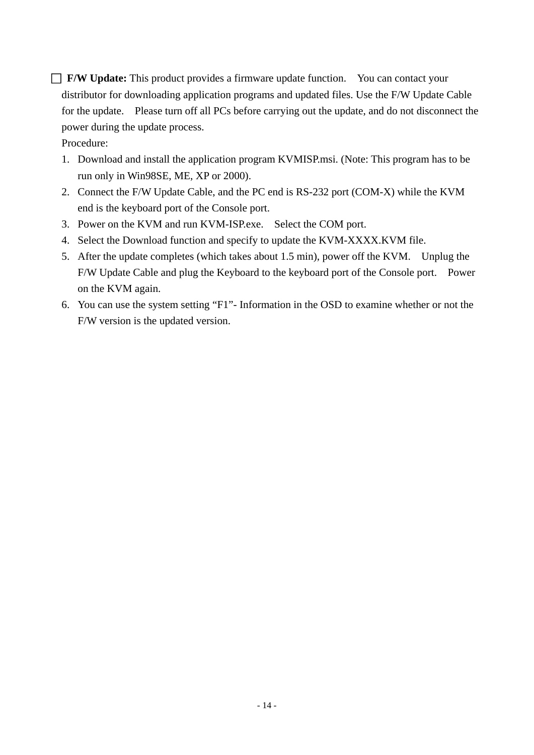□ **F/W Update:** This product provides a firmware update function. You can contact your distributor for downloading application programs and updated files. Use the F/W Update Cable for the update. Please turn off all PCs before carrying out the update, and do not disconnect the power during the update process.

Procedure:

- 1. Download and install the application program KVMISP.msi. (Note: This program has to be run only in Win98SE, ME, XP or 2000).
- 2. Connect the F/W Update Cable, and the PC end is RS-232 port (COM-X) while the KVM end is the keyboard port of the Console port.
- 3. Power on the KVM and run KVM-ISP.exe. Select the COM port.
- 4. Select the Download function and specify to update the KVM-XXXX.KVM file.
- 5. After the update completes (which takes about 1.5 min), power off the KVM. Unplug the F/W Update Cable and plug the Keyboard to the keyboard port of the Console port. Power on the KVM again.
- 6. You can use the system setting "F1"- Information in the OSD to examine whether or not the F/W version is the updated version.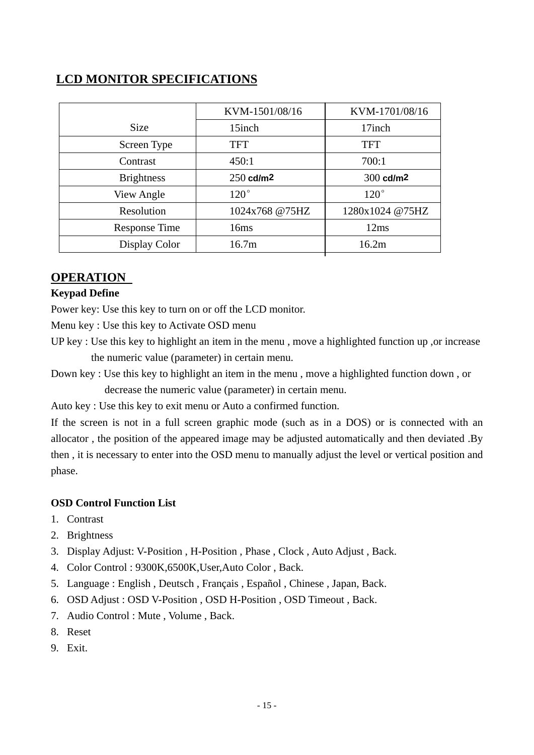# **LCD MONITOR SPECIFICATIONS**

|                      | KVM-1501/08/16    | KVM-1701/08/16          |
|----------------------|-------------------|-------------------------|
| <b>Size</b>          | 15inch            | 17inch                  |
| Screen Type          | TFT               | <b>TFT</b>              |
| Contrast             | 450:1             | 700:1                   |
| <b>Brightness</b>    | $250$ cd/m2       | $300$ cd/m <sup>2</sup> |
| View Angle           | $120^\circ$       | $120^\circ$             |
| Resolution           | 1024x768 @75HZ    | 1280x1024 @75HZ         |
| <b>Response Time</b> | 16ms              | 12ms                    |
| Display Color        | 16.7 <sub>m</sub> | 16.2m                   |

# **OPERATION**

#### **Keypad Define**

Power key: Use this key to turn on or off the LCD monitor.

Menu key : Use this key to Activate OSD menu

- UP key : Use this key to highlight an item in the menu , move a highlighted function up ,or increase the numeric value (parameter) in certain menu.
- Down key : Use this key to highlight an item in the menu , move a highlighted function down , or decrease the numeric value (parameter) in certain menu.

Auto key : Use this key to exit menu or Auto a confirmed function.

If the screen is not in a full screen graphic mode (such as in a DOS) or is connected with an allocator , the position of the appeared image may be adjusted automatically and then deviated .By then , it is necessary to enter into the OSD menu to manually adjust the level or vertical position and phase.

#### **OSD Control Function List**

- 1. Contrast
- 2. Brightness
- 3. Display Adjust: V-Position , H-Position , Phase , Clock , Auto Adjust , Back.
- 4. Color Control : 9300K,6500K,User,Auto Color , Back.
- 5. Language : English , Deutsch , Français , Español , Chinese , Japan, Back.
- 6. OSD Adjust : OSD V-Position , OSD H-Position , OSD Timeout , Back.
- 7. Audio Control : Mute , Volume , Back.
- 8. Reset
- 9. Exit.